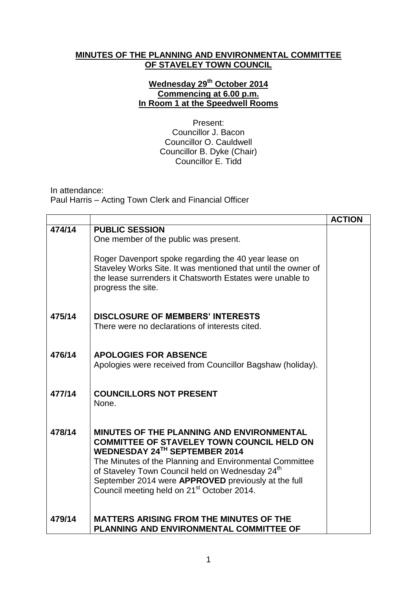## **MINUTES OF THE PLANNING AND ENVIRONMENTAL COMMITTEE OF STAVELEY TOWN COUNCIL**

## **Wednesday 29th October 2014 Commencing at 6.00 p.m. In Room 1 at the Speedwell Rooms**

Present: Councillor J. Bacon Councillor O. Cauldwell Councillor B. Dyke (Chair) Councillor E. Tidd

In attendance: Paul Harris – Acting Town Clerk and Financial Officer

|        |                                                                                                                                                                                                                                                                                                                                                                            | <b>ACTION</b> |
|--------|----------------------------------------------------------------------------------------------------------------------------------------------------------------------------------------------------------------------------------------------------------------------------------------------------------------------------------------------------------------------------|---------------|
| 474/14 | <b>PUBLIC SESSION</b><br>One member of the public was present.<br>Roger Davenport spoke regarding the 40 year lease on<br>Staveley Works Site. It was mentioned that until the owner of<br>the lease surrenders it Chatsworth Estates were unable to<br>progress the site.                                                                                                 |               |
| 475/14 | <b>DISCLOSURE OF MEMBERS' INTERESTS</b><br>There were no declarations of interests cited.                                                                                                                                                                                                                                                                                  |               |
| 476/14 | <b>APOLOGIES FOR ABSENCE</b><br>Apologies were received from Councillor Bagshaw (holiday).                                                                                                                                                                                                                                                                                 |               |
| 477/14 | <b>COUNCILLORS NOT PRESENT</b><br>None.                                                                                                                                                                                                                                                                                                                                    |               |
| 478/14 | MINUTES OF THE PLANNING AND ENVIRONMENTAL<br><b>COMMITTEE OF STAVELEY TOWN COUNCIL HELD ON</b><br>WEDNESDAY 24TH SEPTEMBER 2014<br>The Minutes of the Planning and Environmental Committee<br>of Staveley Town Council held on Wednesday 24 <sup>th</sup><br>September 2014 were APPROVED previously at the full<br>Council meeting held on 21 <sup>st</sup> October 2014. |               |
| 479/14 | <b>MATTERS ARISING FROM THE MINUTES OF THE</b><br>PLANNING AND ENVIRONMENTAL COMMITTEE OF                                                                                                                                                                                                                                                                                  |               |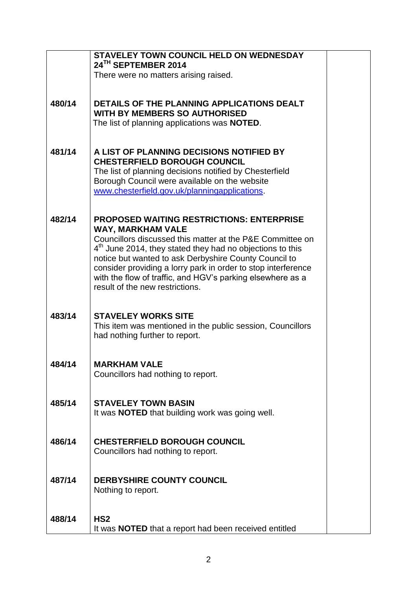|        | STAVELEY TOWN COUNCIL HELD ON WEDNESDAY<br>24TH SEPTEMBER 2014                                                                     |
|--------|------------------------------------------------------------------------------------------------------------------------------------|
|        | There were no matters arising raised.                                                                                              |
|        |                                                                                                                                    |
| 480/14 | DETAILS OF THE PLANNING APPLICATIONS DEALT                                                                                         |
|        | <b>WITH BY MEMBERS SO AUTHORISED</b><br>The list of planning applications was <b>NOTED</b> .                                       |
|        |                                                                                                                                    |
| 481/14 | A LIST OF PLANNING DECISIONS NOTIFIED BY                                                                                           |
|        | <b>CHESTERFIELD BOROUGH COUNCIL</b>                                                                                                |
|        | The list of planning decisions notified by Chesterfield                                                                            |
|        | Borough Council were available on the website<br>www.chesterfield.gov.uk/planningapplications.                                     |
|        |                                                                                                                                    |
| 482/14 | <b>PROPOSED WAITING RESTRICTIONS: ENTERPRISE</b>                                                                                   |
|        | <b>WAY, MARKHAM VALE</b>                                                                                                           |
|        | Councillors discussed this matter at the P&E Committee on<br>4 <sup>th</sup> June 2014, they stated they had no objections to this |
|        | notice but wanted to ask Derbyshire County Council to                                                                              |
|        | consider providing a lorry park in order to stop interference                                                                      |
|        | with the flow of traffic, and HGV's parking elsewhere as a<br>result of the new restrictions.                                      |
|        |                                                                                                                                    |
| 483/14 | <b>STAVELEY WORKS SITE</b>                                                                                                         |
|        | This item was mentioned in the public session, Councillors                                                                         |
|        | had nothing further to report.                                                                                                     |
|        |                                                                                                                                    |
| 484/14 | <b>MARKHAM VALE</b>                                                                                                                |
|        | Councillors had nothing to report.                                                                                                 |
|        |                                                                                                                                    |
| 485/14 | <b>STAVELEY TOWN BASIN</b><br>It was <b>NOTED</b> that building work was going well.                                               |
|        |                                                                                                                                    |
| 486/14 | <b>CHESTERFIELD BOROUGH COUNCIL</b>                                                                                                |
|        | Councillors had nothing to report.                                                                                                 |
|        |                                                                                                                                    |
| 487/14 | <b>DERBYSHIRE COUNTY COUNCIL</b>                                                                                                   |
|        | Nothing to report.                                                                                                                 |
|        |                                                                                                                                    |
| 488/14 | HS <sub>2</sub>                                                                                                                    |
|        | It was <b>NOTED</b> that a report had been received entitled                                                                       |